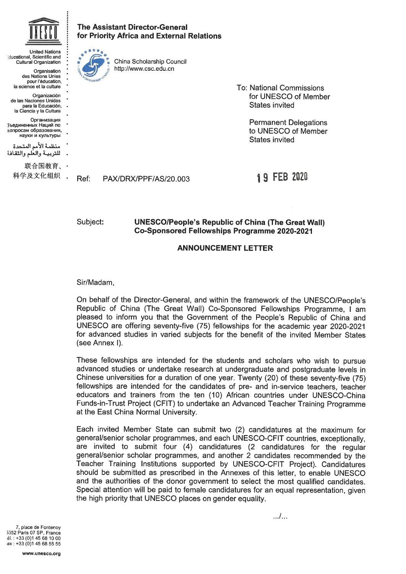

United Nations lucational. Scientific and Cultural Organizatlon **Organisation** des Nations Unies pour l'éducation, la science et la culture Organizaciôn de las Naciones Unidas para la Educaciôn, la Ciencia y la Cultura Организация **Бъелиненных Наший по** вопросам образования, науки и культуры منظمة الأمم المتحدة للتربيـة والعلم والثقافة

联合国教育、 科学及文化组织 . The Assistant Director-General for Priority Africa and External Relations



China Scholarship Council http://www.csc.edu.cn

> To: National Commissions for UNESCO of Member States invited

> > Permanent Delegations to UNESCO of Member States invited

Ref: PAX/DRX/PPF/AS/20. 003

# 1 9 FEB 2820

Subject: **UNESCO/People's Republic of China (The Great Wall)** Co-Sponsored Fellowships Programme 2020-2021

### ANNOUNCEMENT LETTER

Sir/Madam,

On behalf of thé Director-General, and within thé framework of thé UNESCO/People's Republic of China (The Great Wall) Co-Sponsored Fellowships Programme, I am pleased to inform you that thé Government of thé People's Republic of China and UNESCO are offering seventy-five (75) fellowships for thé académie year 2020-2021 for advanced studies in varied subjects for thé benefit of thé invited Member States (see Annex l).

These fellowships are intended for the students and scholars who wish to pursue advanced étudies or undertake research at undergraduate and postgraduate levels in Chinese universities for a duration of one year. Twenty (20) of these seventy-five (75) fellowships are intended for the candidates of pre- and in-service teachers, teacher educators and trainers from thé ten (10) African countries under UNESCO-China Funds-in-Trust Project (CFIT) to undertake an Advanced Teacher Training Programme at the East China Normal University.

Each invited Member State can submit two (2) candidatures at thé maximum for general/senior scholar programmes, and each UNESCO-CFIT countries, exceptionally, are invited to submit four (4) candidatures (2 candidatures for the regular general/senior scholar programmes, and another 2 candidates recommended by thé Teacher Training Institutions supported by UNESCO-CFIT Project). Candidatures should be submitted as prescribed in thé Annexes of this letter, to enable UNESCO and the authorities of the donor government to select the most qualified candidates. Special attention will be paid to female candidatures for an equal representation, given the high priority that UNESCO places on gender equality.

7, place de Fontenoy 5352 Paris 07 SP, France -]. : +33 (0)1 45 68 10 00 ax : +33 (0)1 45 68 55 55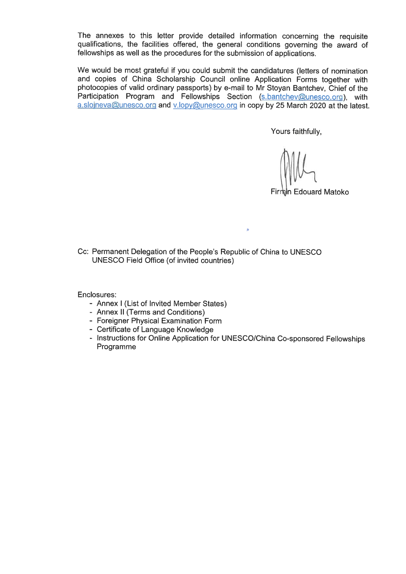The annexes to this letter provide detailed information concerning the requisite qualifications, the facilities offered, the general conditions governing the award of fellowships as well as the procedures for the submission of applications.

We would be most grateful if you could submit the candidatures (letters of nomination and copies of China Scholarship Council online Application Forms together with photocopies of valid ordinary passports) by e-mail to Mr Stoyan Bantchev, Chief of thé Participation Program and Fellowships Section (s.bantchev@unesco.org), with a.sloineva@unesco.org and v.lopy@unesco.org in copy by 25 March 2020 at the latest.

Yours faithfully,

Firmin Edouard Matoko

Cc: Permanent Delegation of the People's Republic of China to UNESCO UNESCO Field Office (of invited countries)

Enclosures:

- Annex l (List of Invited Member States)
- Annex II (Terms and Conditions)
- Foreigner Physical Examination Form
- Certificate of Language Knowledge
- Instructions for Online Application for UNESCO/China Co-sponsored Fellowships Programme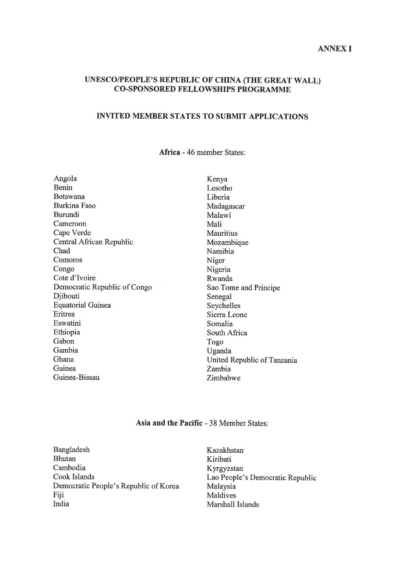## UNESCO/PEOPLE'S REPUBLIC 0F CHINA (THE GREAT WALL) CO-SPONSORED FELLOWSHIPS PROGRAMME

## INVITED MEMBER STATES TO SUBMIT APPLICATIONS

Africa - 46 member States:

| Angola                       | Kenya                       |
|------------------------------|-----------------------------|
| Benin                        | Lesotho                     |
| Botswana                     | Liberia                     |
| Burkina Faso                 | Madagascar                  |
| Burundi                      | Malawi                      |
| Cameroon                     | Mali                        |
| Cape Verde                   | <b>Mauritius</b>            |
| Central African Republic     | Mozambique                  |
| Chad                         | Namibia                     |
| Comoros                      | Niger                       |
| Congo                        | Nigeria                     |
| Cote d'Ivoire                | Rwanda                      |
| Democratic Republic of Congo | Sao Tome and Principe       |
| Djibouti                     | Senegal                     |
| <b>Equatorial Guinea</b>     | Seychelles                  |
| Eritrea                      | Sierra Leone                |
| Eswatini                     | Somalia                     |
| Ethiopia                     | South Africa                |
| Gabon                        | Togo                        |
| Gambia                       | Uganda                      |
| Ghana                        | United Republic of Tanzania |
| Guinea                       | Zambia                      |
| Guinea-Bissau                | Zimbabwe                    |

## Asia and the Pacific - 38 Member States:

- Bangladesh Bhutan Cambodia Cook Islands Democratic People's Republic of Korea Fiji India
- Kazakhstan Kiribati Kyrgyzstan Lao People's Democratic Republic Malaysia Maldives Marshall Islands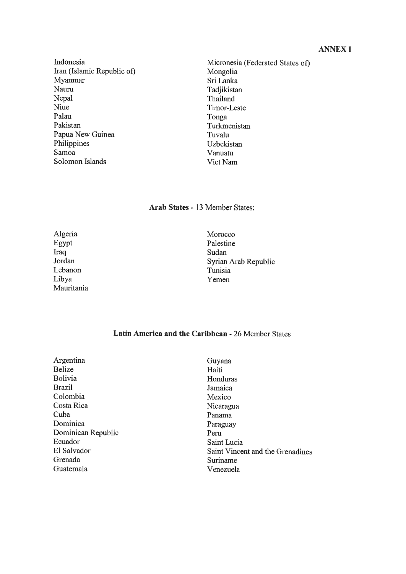# ANNEXI

Indonesia Iran (Islamic Republic of) Myamnar Naum Népal Niue Palau Pakistan Papua New Guinea Philippines Samoa Solomon Islands

Micronesia (Federated States of) Mongolia Sri Lanka Tadjikistan Thailand Timor-Leste Tonga Turkmenistan Tuvalu Uzbekistan Vanuatu Viet Nam

## Arab States - 13 Member States:

Algeria Egypt Iraq Jordan Lebanon Libya Mauritania Morocco Palestine Sudan Syrian Arab Republic Tunisia Yemen

### Latin America and the Caribbean - 26 Member States

Argentina Belize Bolivia Brazil Colombia Costa Rica Cuba Dominica Dominican Republic Ecuador El Salvador Grenada Guatemala

Guyana Haiti Honduras Jamaica Mexico Nicaragua Panama Paraguay Pem Saint Lucia Saint Vincent and thé Grenadines Suriname Venezuela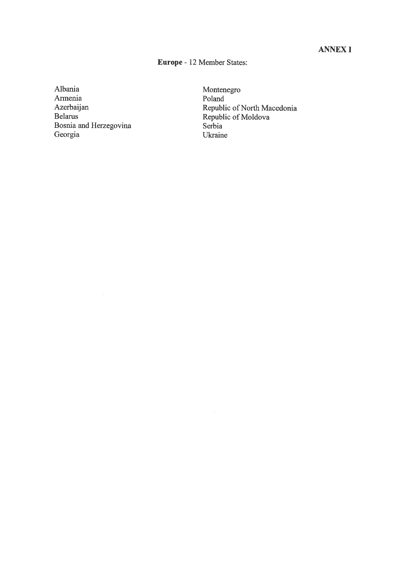# ANNEXI

# Europe - 12 Member States:

Albania Armenia Azerbaijan Belams Bosnia and Herzegovina Georgia

Monténégro Poland Republic of North Macedonia Republic of Moldova Serbia Ukraine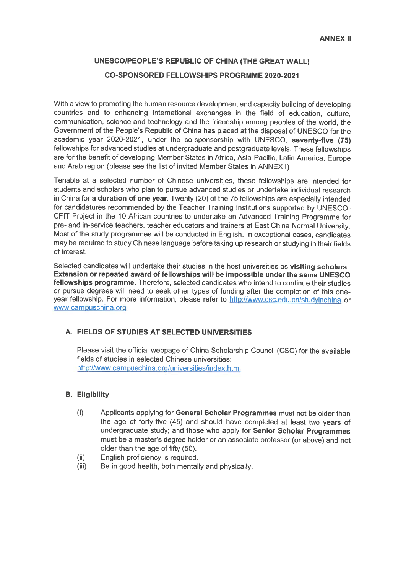# UNESCO/PEOPLE'S REPUBLIC 0F CHINA (THE GREAT WALL) CO-SPONSORED FELLOWSHIPS PROGRMME 2020-2021

With a view to promoting the human resource development and capacity building of developing countries and to enhancing international exchanges in the field of education, culture, communication, science and technology and the friendship among peoples of the world, the Government of the People's Republic of China has placed at the disposal of UNESCO for the academic year 2020-2021, under the co-sponsorship with UNESCO, seventy-five (75) fellowships for advanced studies at undergraduate and postgraduate levels. These fellowships are for the benefit of developing Member States in Africa, Asia-Pacific, Latin America, Europe and Arab region (please see the list of invited Member States in ANNEX I)

Tenable at a selected number of Chinese universities, thèse fellowships are intended for students and scholars who plan to pursue advanced studies or undertake individual research in China for a duration of one year. Twenty (20) of the 75 fellowships are especially intended for candidatures recommended by the Teacher Training Institutions supported by UNESCO-CFIT Project in thé 10 African countries to undertake an Advanced Training Programme for pre- and in-service teachers, teacher educators and trainers at East China Normal University. Most of thé study programmes will be conducted in English. In exceptional cases, candidates may be required to study Chinese language before taking up research or studying in their fields of interest.

Selected candidates will undertake their studies in the host universities as visiting scholars. Extension or repeated award of fellowships will be impossible under the same UNESCO fellowships programme. Therefore, selected candidates who intend to continue their studies or pursue degrees will need to seek other types of funding after thé completion of this oneyear fellowship. For more information, please refer to http://www.csc.edu.cn/studyinchina or www.campuschina.org

## A. FIELDS 0F STUDIES AT SELECTED UNIVERSITIES

Please visit the official webpage of China Scholarship Council (CSC) for the available fields of studies in selected Chinese universities: http://www.campuschina.org/universities/index.html

### B. Eligibility

- (i) Applicants applying for General Scholar Programmes must not be older than the age of forty-five (45) and should have completed at least two years of undergraduate study; and those who apply for Senior Scholar Programmes must be a master's degree holder or an associate professor (or above) and not older than the age of fifty (50).
- (ii) English proficiency is required.
- (iii) Be in good health, both mentally and physically.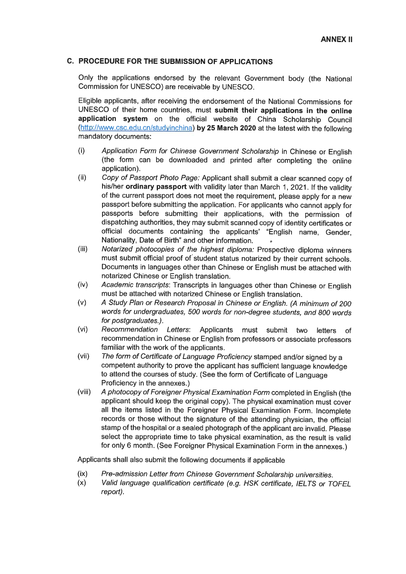### C. PROCEDURE FOR THE SUBMISSION 0F APPLICATIONS

Only the applications endorsed by the relevant Government body (the National Commission for UNESCO) are receivable by UNESCO.

Eligible applicants, after receiving thé endorsement of thé National Commissions for UNESCO of their home countries, must submit their applications in the online application system on thé officiai website of China Scholarship Council (http://www.csc.edu.cn/studyinchina) by 25 March 2020 at the latest with the following mandatory documents:

- (i) Application Form for Chinese Government Scholarship in Chinese or English (the form can be downloaded and printed after completing the online application).
- (ii) Copy of Passport Photo Page: Applicant shall submit a clear scanned copy of his/her ordinary passport with validity later than March 1, 2021. If the validity of the current passport does not meet the requirement, please apply for a new passport before submitting thé application. For applicants who cannot apply for passports before submitting their applications, with the permission of dispatching authorities, they may submit scanned copy of identity certificates or officiai documents containing thé applicants' "English name, Gender, Nationality, Date of Birth" and other information.
- (iii) Notarized photocopies of thé highest diploma: Prospective diploma winners must submit officiai proof of student status notarized by their current schools. Documents in languages other than Chinese or English must be attached with notarized Chinese or English translation.
- (iv) Académie transcripts: Transcripts in languages other than Chinese or English must be attached with notarized Chinese or English translation.
- (v) A Study Plan or Research Proposai in Chinese or English. (A minimum of 200 words for undergraduates, 500 words for non-degree students, and 800 words for postgraduates.).
- (vi) Recommendation Letters: Applicants must submit two letters of recommendation in Chinese or English from professors or associate professors familiar with the work of the applicants.
- (vii) Thé form of Certificate of Language Proficiency stamped and/or signed by a compétent authority to prove thé applicant has sufficient language knowledge to attend the courses of study. (See the form of Certificate of Language Proficiency in the annexes.)
- (viii) A photocopy of Foreigner Physical Examination Form completed in English (the applicant should keep the original copy). The physical examination must cover all the items listed in the Foreigner Physical Examination Form. Incomplete records or those without the signature of the attending physician, the official stamp of the hospital or a sealed photograph of the applicant are invalid. Please select the appropriate time to take physical examination, as the result is valid for only 6 month. (See Foreigner Physical Examination Form in the annexes.)

Applicants shall also submit thé following documents if applicable

- (ix) Pre-admission Letter from Chinese Government Scholarship universities.<br>(x) Valid language qualification certificate (e.g. HSK certificate, IELTS or To
- Valid language qualification certificate (e.g. HSK certificate, IELTS or TOFEL report).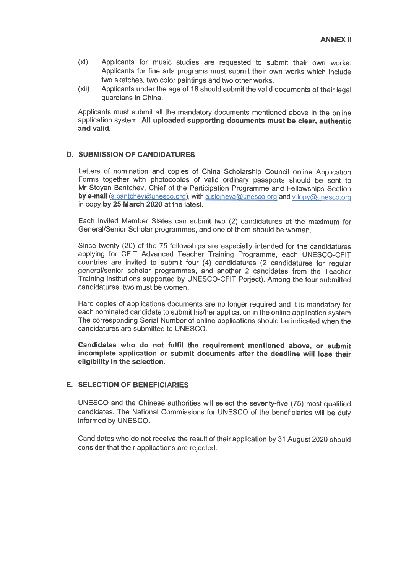- (xi) Applicants for music studies are requested to submit their own works. Applicants for fine arts programs must submit their own works which include two sketches, two color paintings and two other works.
- (xii) Applicants under the age of 18 should submit the valid documents of their legal guardians in China.

Applicants must submit ail thé mandatory documents mentioned above in thé online application System. Ail uploaded supporting documents must be clear, authentic and valid.

### D. SUBMISSION 0F CANDIDATURES

Letters of nomination and copies of China Scholarship Council online Application Forms together with photocopies of valid ordinary passports should be sent to Mr Stoyan Bantchev, Chief of thé Participation Programme and Fellowships Section by e-mail (s.bantchev@unesco.org), with a.sloineva@unesco.org and v.lopy@unesco.org in copy by 25 March 2020 at thé latest.

Each invited Member States can submit two (2) candidatures at thé maximum for General/Senior Scholar programmes, and one of them should be woman.

Since twenty (20) of the 75 fellowships are especially intended for the candidatures applying for CFIT Advanced Teacher Training Programme, each UNESCO-CFIT countries are invited to submit four (4) candidatures (2 candidatures for regular general/senior scholar programmes, and another 2 candidates from thé Teacher Training Institutions supported by UNESCO-CFIT Porject). Among thé four submitted candidatures, two must be women.

Hard copies of applications documents are no longer required and it is mandatory for each nominated candidate to submit his/her application in the online application system. The corresponding Serial Number of online applications should be indicated when the candidatures are submitted to UNESCO.

Candidates who do not fulfil thé requirement mentioned above, or submit incomplete application or submit documents after the deadline will lose their eligibility in the selection.

#### E. SELECTION 0F BENEFICIARIES

UNESCO and the Chinese authorities will select the seventy-five (75) most qualified candidates. Thé National Commissions for UNESCO of thé beneficiaries will be duly informed by UNESCO.

Candidates who do not receive the result of their application by 31 August 2020 should consider that their applications are rejected.